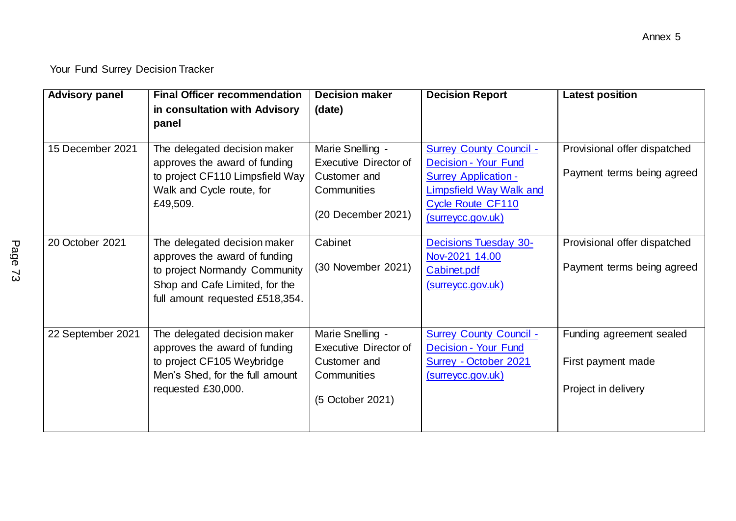| <b>Advisory panel</b> | <b>Final Officer recommendation</b><br>in consultation with Advisory<br>panel                                                                                       | <b>Decision maker</b><br>(date)                                                                       | <b>Decision Report</b>                                                                                                                                            | <b>Latest position</b>                                                |
|-----------------------|---------------------------------------------------------------------------------------------------------------------------------------------------------------------|-------------------------------------------------------------------------------------------------------|-------------------------------------------------------------------------------------------------------------------------------------------------------------------|-----------------------------------------------------------------------|
| 15 December 2021      | The delegated decision maker<br>approves the award of funding<br>to project CF110 Limpsfield Way<br>Walk and Cycle route, for<br>£49,509.                           | Marie Snelling -<br><b>Executive Director of</b><br>Customer and<br>Communities<br>(20 December 2021) | <b>Surrey County Council -</b><br>Decision - Your Fund<br><b>Surrey Application -</b><br>Limpsfield Way Walk and<br><b>Cycle Route CF110</b><br>(surreycc.gov.uk) | Provisional offer dispatched<br>Payment terms being agreed            |
| 20 October 2021       | The delegated decision maker<br>approves the award of funding<br>to project Normandy Community<br>Shop and Cafe Limited, for the<br>full amount requested £518,354. | Cabinet<br>(30 November 2021)                                                                         | <b>Decisions Tuesday 30-</b><br>Nov-2021 14.00<br>Cabinet.pdf<br>(surreycc.gov.uk)                                                                                | Provisional offer dispatched<br>Payment terms being agreed            |
| 22 September 2021     | The delegated decision maker<br>approves the award of funding<br>to project CF105 Weybridge<br>Men's Shed, for the full amount<br>requested £30,000.                | Marie Snelling -<br>Executive Director of<br>Customer and<br>Communities<br>(5 October 2021)          | <b>Surrey County Council -</b><br>Decision - Your Fund<br>Surrey - October 2021<br>(surreycc.gov.uk)                                                              | Funding agreement sealed<br>First payment made<br>Project in delivery |